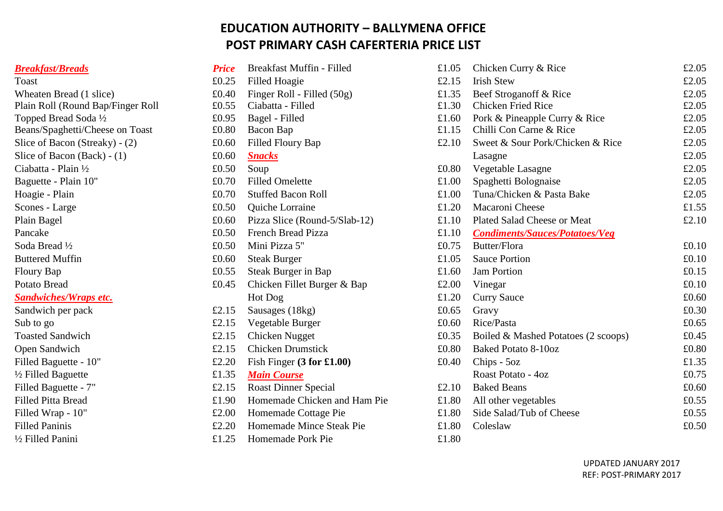## **EDUCATION AUTHORITY – BALLYMENA OFFICE POST PRIMARY CASH CAFERTERIA PRICE LIST**

| <b>Breakfast/Breads</b> |
|-------------------------|
|-------------------------|

| <b>Breakfast/Breads</b>           | <b>Price</b> | Breakfast Muffin - Filled     | £1.05 | Chicken Curry & Rice                  |
|-----------------------------------|--------------|-------------------------------|-------|---------------------------------------|
| Toast                             | £0.25        | <b>Filled Hoagie</b>          | £2.15 | <b>Irish Stew</b>                     |
| Wheaten Bread (1 slice)           | £0.40        | Finger Roll - Filled (50g)    | £1.35 | Beef Stroganoff & Rice                |
| Plain Roll (Round Bap/Finger Roll | £0.55        | Ciabatta - Filled             | £1.30 | <b>Chicken Fried Rice</b>             |
| Topped Bread Soda 1/2             | £0.95        | Bagel - Filled                | £1.60 | Pork & Pineapple Curry & Rice         |
| Beans/Spaghetti/Cheese on Toast   | £0.80        | Bacon Bap                     | £1.15 | Chilli Con Carne & Rice               |
| Slice of Bacon (Streaky) - (2)    | £0.60        | Filled Floury Bap             | £2.10 | Sweet & Sour Pork/Chicken & Rio       |
| Slice of Bacon (Back) - $(1)$     | £0.60        | <b>Snacks</b>                 |       | Lasagne                               |
| Ciabatta - Plain 1/2              | £0.50        | Soup                          | £0.80 | Vegetable Lasagne                     |
| Baguette - Plain 10"              | £0.70        | <b>Filled Omelette</b>        | £1.00 | Spaghetti Bolognaise                  |
| Hoagie - Plain                    | £0.70        | <b>Stuffed Bacon Roll</b>     | £1.00 | Tuna/Chicken & Pasta Bake             |
| Scones - Large                    | £0.50        | Quiche Lorraine               | £1.20 | Macaroni Cheese                       |
| Plain Bagel                       | £0.60        | Pizza Slice (Round-5/Slab-12) | £1.10 | Plated Salad Cheese or Meat           |
| Pancake                           | £0.50        | <b>French Bread Pizza</b>     | £1.10 | <b>Condiments/Sauces/Potatoes/Veg</b> |
| Soda Bread 1/2                    | £0.50        | Mini Pizza 5"                 | £0.75 | Butter/Flora                          |
| <b>Buttered Muffin</b>            | £0.60        | <b>Steak Burger</b>           | £1.05 | <b>Sauce Portion</b>                  |
| Floury Bap                        | £0.55        | Steak Burger in Bap           | £1.60 | <b>Jam Portion</b>                    |
| <b>Potato Bread</b>               | £0.45        | Chicken Fillet Burger & Bap   | £2.00 | Vinegar                               |
| <b>Sandwiches/Wraps etc.</b>      |              | Hot Dog                       | £1.20 | <b>Curry Sauce</b>                    |
| Sandwich per pack                 | £2.15        | Sausages (18kg)               | £0.65 | Gravy                                 |
| Sub to go                         | £2.15        | Vegetable Burger              | £0.60 | Rice/Pasta                            |
| <b>Toasted Sandwich</b>           | £2.15        | Chicken Nugget                | £0.35 | Boiled & Mashed Potatoes (2 scoo      |
| Open Sandwich                     | £2.15        | <b>Chicken Drumstick</b>      | £0.80 | <b>Baked Potato 8-10oz</b>            |
| Filled Baguette - 10"             | £2.20        | Fish Finger $(3$ for £1.00)   | £0.40 | Chips - 5oz                           |
| 1/2 Filled Baguette               | £1.35        | <b>Main Course</b>            |       | Roast Potato - 4oz                    |
| Filled Baguette - 7"              | £2.15        | <b>Roast Dinner Special</b>   | £2.10 | <b>Baked Beans</b>                    |
| <b>Filled Pitta Bread</b>         | £1.90        | Homemade Chicken and Ham Pie  | £1.80 | All other vegetables                  |
| Filled Wrap - 10"                 | £2.00        | Homemade Cottage Pie          | £1.80 | Side Salad/Tub of Cheese              |
| <b>Filled Paninis</b>             | £2.20        | Homemade Mince Steak Pie      | £1.80 | Coleslaw                              |
| 1/2 Filled Panini                 | £1.25        | Homemade Pork Pie             | £1.80 |                                       |

| <b>Breakfast/Breads</b>           | <b>Price</b> | Breakfast Muffin - Filled     | £1.05 | Chicken Curry & Rice                  | £2.05 |
|-----------------------------------|--------------|-------------------------------|-------|---------------------------------------|-------|
| Toast                             | £0.25        | <b>Filled Hoagie</b>          | £2.15 | <b>Irish Stew</b>                     | £2.05 |
| Wheaten Bread (1 slice)           | £0.40        | Finger Roll - Filled (50g)    | £1.35 | Beef Stroganoff & Rice                | £2.05 |
| Plain Roll (Round Bap/Finger Roll | £0.55        | Ciabatta - Filled             | £1.30 | <b>Chicken Fried Rice</b>             | £2.05 |
| Topped Bread Soda 1/2             | £0.95        | Bagel - Filled                | £1.60 | Pork & Pineapple Curry & Rice         | £2.05 |
| Beans/Spaghetti/Cheese on Toast   | £0.80        | Bacon Bap                     | £1.15 | Chilli Con Carne & Rice               | £2.05 |
| Slice of Bacon (Streaky) - (2)    | £0.60        | Filled Floury Bap             | £2.10 | Sweet & Sour Pork/Chicken & Rice      | £2.05 |
| Slice of Bacon $(Back) - (1)$     | £0.60        | <b>Snacks</b>                 |       | Lasagne                               | £2.05 |
| Ciabatta - Plain 1/2              | £0.50        | Soup                          | £0.80 | Vegetable Lasagne                     | £2.05 |
| Baguette - Plain 10"              | £0.70        | <b>Filled Omelette</b>        | £1.00 | Spaghetti Bolognaise                  | £2.05 |
| Hoagie - Plain                    | £0.70        | <b>Stuffed Bacon Roll</b>     | £1.00 | Tuna/Chicken & Pasta Bake             | £2.05 |
| Scones - Large                    | £0.50        | Quiche Lorraine               | £1.20 | Macaroni Cheese                       | £1.55 |
| Plain Bagel                       | £0.60        | Pizza Slice (Round-5/Slab-12) | £1.10 | Plated Salad Cheese or Meat           | £2.10 |
| Pancake                           | £0.50        | French Bread Pizza            | £1.10 | <b>Condiments/Sauces/Potatoes/Veg</b> |       |
| Soda Bread 1/2                    | £0.50        | Mini Pizza 5"                 | £0.75 | Butter/Flora                          | £0.10 |
| <b>Buttered Muffin</b>            | £0.60        | <b>Steak Burger</b>           | £1.05 | <b>Sauce Portion</b>                  | £0.10 |
| <b>Floury Bap</b>                 | £0.55        | Steak Burger in Bap           | £1.60 | <b>Jam Portion</b>                    | £0.15 |
| Potato Bread                      | £0.45        | Chicken Fillet Burger & Bap   | £2.00 | Vinegar                               | £0.10 |
| <b>Sandwiches/Wraps etc.</b>      |              | Hot Dog                       | £1.20 | <b>Curry Sauce</b>                    | £0.60 |
| Sandwich per pack                 | £2.15        | Sausages (18kg)               | £0.65 | Gravy                                 | £0.30 |
| Sub to go                         | £2.15        | Vegetable Burger              | £0.60 | Rice/Pasta                            | £0.65 |
| <b>Toasted Sandwich</b>           | £2.15        | <b>Chicken Nugget</b>         | £0.35 | Boiled & Mashed Potatoes (2 scoops)   | £0.45 |
| Open Sandwich                     | £2.15        | <b>Chicken Drumstick</b>      | £0.80 | <b>Baked Potato 8-10oz</b>            | £0.80 |
| Filled Baguette - 10"             | £2.20        | Fish Finger $(3$ for £1.00)   | £0.40 | Chips - 5oz                           | £1.35 |
| 1/2 Filled Baguette               | £1.35        | <b>Main Course</b>            |       | Roast Potato - 4oz                    | £0.75 |
| Filled Baguette - 7"              | £2.15        | <b>Roast Dinner Special</b>   | £2.10 | <b>Baked Beans</b>                    | £0.60 |
| Filled Pitta Bread                | £1.90        | Homemade Chicken and Ham Pie  | £1.80 | All other vegetables                  | £0.55 |
| Filled Wrap - 10"                 | £2.00        | Homemade Cottage Pie          | £1.80 | Side Salad/Tub of Cheese              | £0.55 |
| <b>Filled Paninis</b>             | £2.20        | Homemade Mince Steak Pie      | £1.80 | Coleslaw                              | £0.50 |
| 1⁄2 Filled Panini                 |              | $f1.25$ Homemade Pork Pie     | f1.80 |                                       |       |